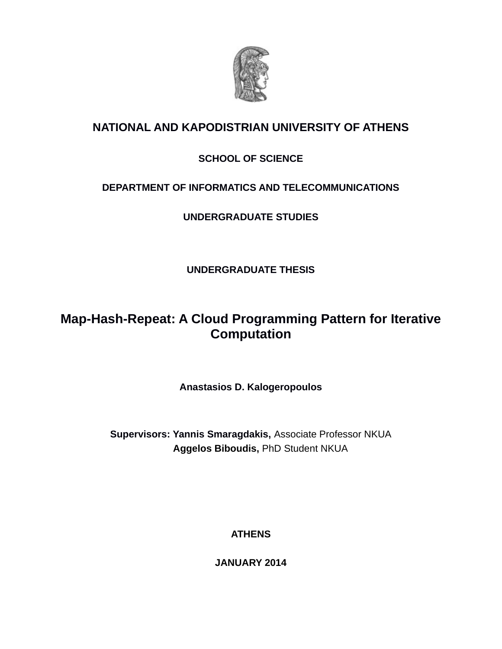

# **NATIONAL AND KAPODISTRIAN UNIVERSITY OF ATHENS**

## **SCHOOL OF SCIENCE**

## **DEPARTMENT OF INFORMATICS AND TELECOMMUNICATIONS**

**UNDERGRADUATE STUDIES**

**UNDERGRADUATE THESIS**

# **Map-Hash-Repeat: A Cloud Programming Pattern for Iterative Computation**

**Anastasios D. Kalogeropoulos**

**Supervisors: Yannis Smaragdakis,** Associate Professor NKUA  **Aggelos Biboudis,** PhD Student NKUA

**ATHENS**

**JANUARY 2014**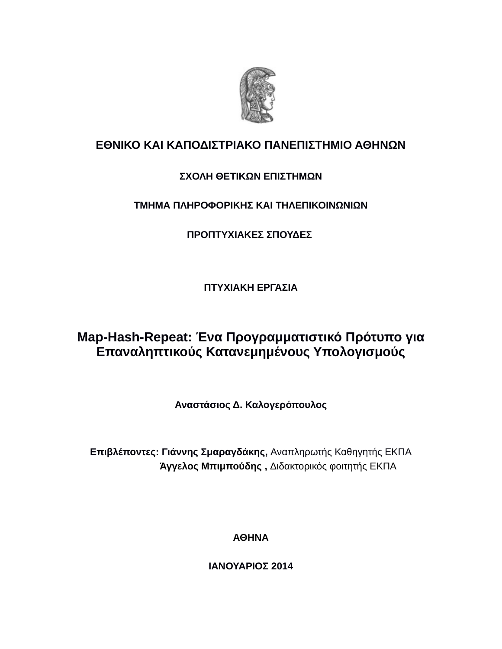

## **ΕΘΝΙΚΟ ΚΑΙ ΚΑΠΟΔΙΣΤΡΙΑΚΟ ΠΑΝΕΠΙΣΤΗΜΙΟ ΑΘΗΝΩΝ**

## **ΣΧΟΛΗ ΘΕΤΙΚΩΝ ΕΠΙΣΤΗΜΩΝ**

## **ΤΜΗΜΑ ΠΛΗΡΟΦΟΡΙΚΗΣ ΚΑΙ ΤΗΛΕΠΙΚΟΙΝΩΝΙΩΝ**

## **ΠΡΟΠΤΥΧΙΑΚΕΣ ΣΠΟΥΔΕΣ**

**ΠΤΥΧΙΑΚΗ ΕΡΓΑΣΙΑ**

# **Map-Hash-Repeat: Ένα Προγραμματιστικό Πρότυπο για Επαναληπτικούς Κατανεμημένους Υπολογισμούς**

**Αναστάσιος Δ. Καλογερόπουλος**

**Επιβλέποντες: Γιάννης Σμαραγδάκης,** Αναπληρωτής Καθηγητής ΕΚΠΑ  **Άγγελος Μπιμπούδης ,** Διδακτορικός φοιτητής ΕΚΠΑ

**ΑΘΗΝΑ**

**ΙΑΝΟΥΑΡΙΟΣ 2014**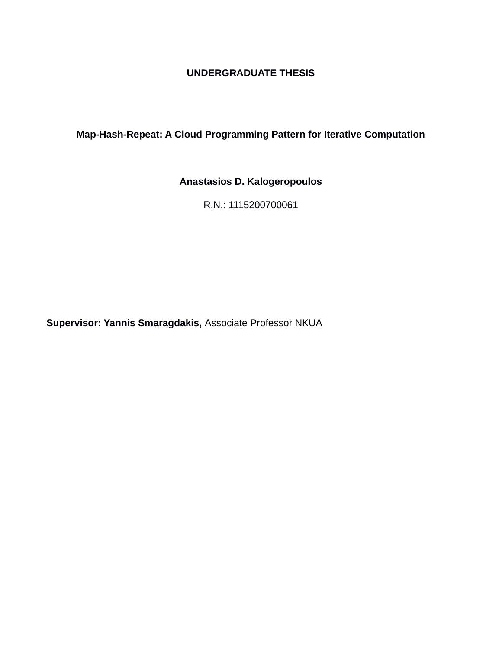### **UNDERGRADUATE THESIS**

## **Map-Hash-Repeat: A Cloud Programming Pattern for Iterative Computation**

## **Anastasios D. Kalogeropoulos**

R.N.: 1115200700061

**Supervisor: Yannis Smaragdakis,** Associate Professor NKUA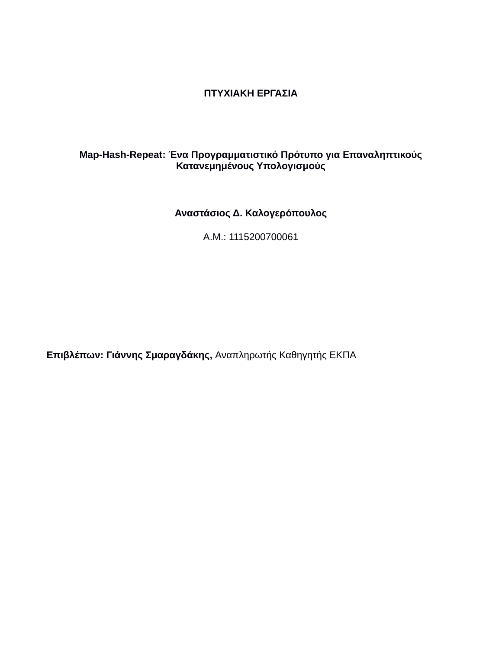### **ΠΤΥΧΙΑΚΗ ΕΡΓΑΣΙΑ**

## **Map-Hash-Repeat: Ένα Προγραμματιστικό Πρότυπο για Επαναληπτικούς Κατανεμημένους Υπολογισμούς**

## **Αναστάσιος Δ. Καλογερόπουλος**

Α.Μ.: 1115200700061

**Επιβλέπων: Γιάννης Σμαραγδάκης,** Αναπληρωτής Καθηγητής ΕΚΠΑ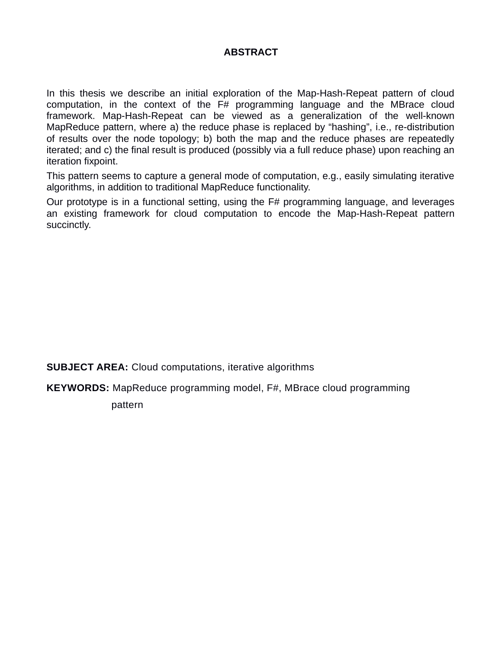### **ABSTRACT**

In this thesis we describe an initial exploration of the Map-Hash-Repeat pattern of cloud computation, in the context of the F# programming language and the MBrace cloud framework. Map-Hash-Repeat can be viewed as a generalization of the well-known MapReduce pattern, where a) the reduce phase is replaced by "hashing", i.e., re-distribution of results over the node topology; b) both the map and the reduce phases are repeatedly iterated; and c) the final result is produced (possibly via a full reduce phase) upon reaching an iteration fixpoint.

This pattern seems to capture a general mode of computation, e.g., easily simulating iterative algorithms, in addition to traditional MapReduce functionality.

Our prototype is in a functional setting, using the F# programming language, and leverages an existing framework for cloud computation to encode the Map-Hash-Repeat pattern succinctly.

**SUBJECT AREA:** Cloud computations, iterative algorithms

**KEYWORDS:** MapReduce programming model, F#, MBrace cloud programming

pattern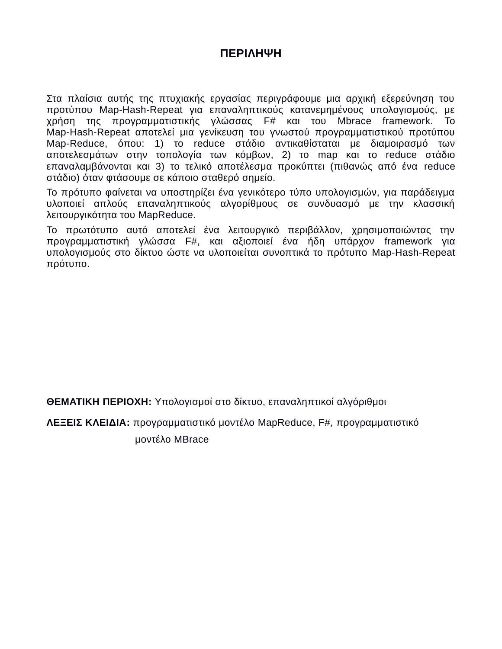## **ΠΕΡΙΛΗΨΗ**

Στα πλαίσια αυτής της πτυχιακής εργασίας περιγράφουμε μια αρχική εξερεύνηση του προτύπου Map-Hash-Repeat για επαναληπτικούς κατανεμημένους υπολογισμούς, με χρήση της προγραμματιστικής γλώσσας F# και του Mbrace framework. Το Map-Hash-Repeat αποτελεί μια γενίκευση του γνωστού προγραμματιστικού προτύπου Map-Reduce, όπου: 1) το reduce στάδιο αντικαθίσταται με διαμοιρασμό των αποτελεσμάτων στην τοπολογία των κόμβων, 2) το map και το reduce στάδιο επαναλαμβάνονται και 3) το τελικό αποτέλεσμα προκύπτει (πιθανώς από ένα reduce στάδιο) όταν φτάσουμε σε κάποιο σταθερό σημείο.

Το πρότυπο φαίνεται να υποστηρίζει ένα γενικότερο τύπο υπολογισμών, για παράδειγμα υλοποιεί απλούς επαναληπτικούς αλγορίθμους σε συνδυασμό με την κλασσική λειτουργικότητα του MapReduce.

To πρωτότυπο αυτό αποτελεί ένα λειτουργικό περιβάλλον, χρησιμοποιώντας την προγραμματιστική γλώσσα F#, και αξιοποιεί ένα ήδη υπάρχον framework για υπολογισμούς στο δίκτυο ώστε να υλοποιείται συνοπτικά το πρότυπο Map-Hash-Repeat πρότυπο.

**ΘΕΜΑΤΙΚΗ ΠΕΡΙΟΧΗ:** Υπολογισμοί στο δίκτυο, επαναληπτικοί αλγόριθμοι

**ΛΕΞΕΙΣ ΚΛΕΙΔΙΑ:** προγραμματιστικό μοντέλο MapReduce, F#, προγραμματιστικό

μοντέλο MBrace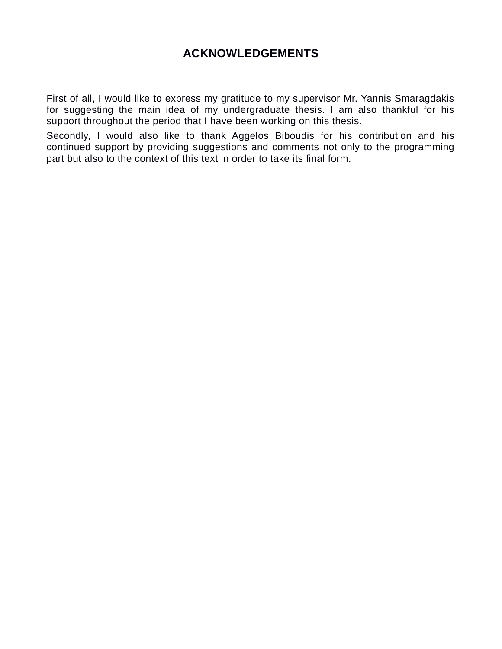## **ACKNOWLEDGEMENTS**

First of all, I would like to express my gratitude to my supervisor Mr. Yannis Smaragdakis for suggesting the main idea of my undergraduate thesis. I am also thankful for his support throughout the period that I have been working on this thesis.

Secondly, I would also like to thank Aggelos Biboudis for his contribution and his continued support by providing suggestions and comments not only to the programming part but also to the context of this text in order to take its final form.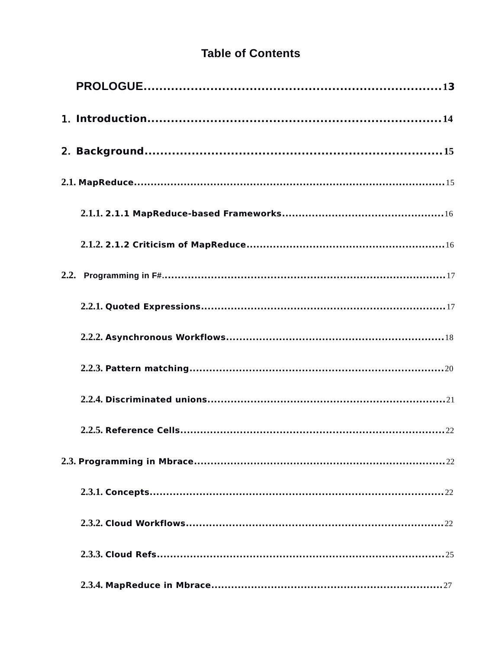# **Table of Contents**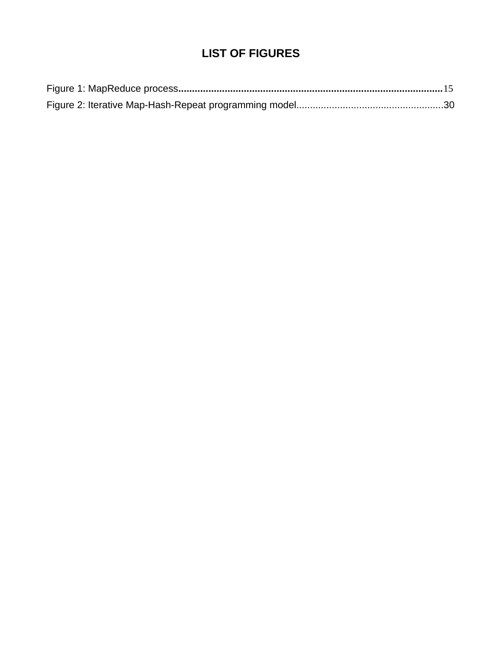# **LIST OF FIGURES**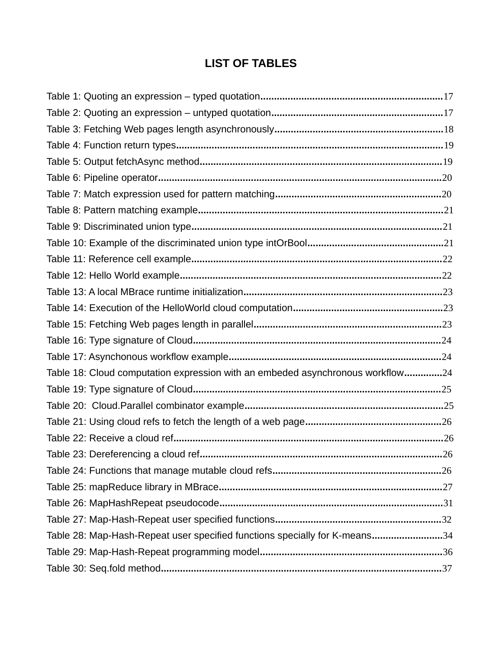## **LIST OF TABLES**

| Table 18: Cloud computation expression with an embeded asynchronous workflow24 |  |
|--------------------------------------------------------------------------------|--|
|                                                                                |  |
|                                                                                |  |
|                                                                                |  |
|                                                                                |  |
|                                                                                |  |
|                                                                                |  |
|                                                                                |  |
|                                                                                |  |
|                                                                                |  |
| Table 28: Map-Hash-Repeat user specified functions specially for K-means34     |  |
|                                                                                |  |
|                                                                                |  |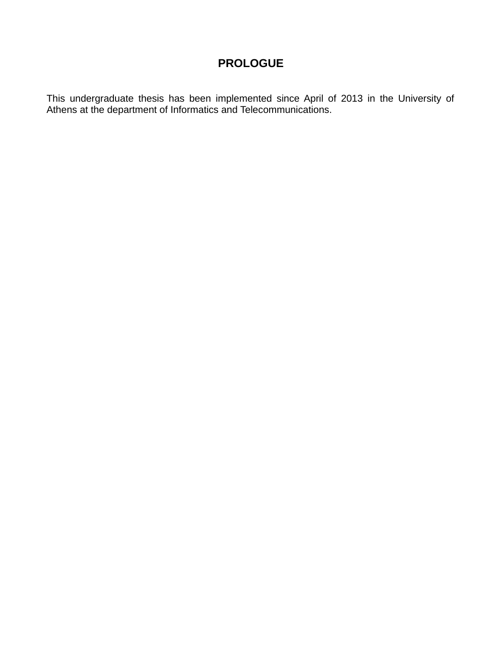## <span id="page-11-0"></span>**PROLOGUE**

This undergraduate thesis has been implemented since April of 2013 in the University of Athens at the department of Informatics and Telecommunications.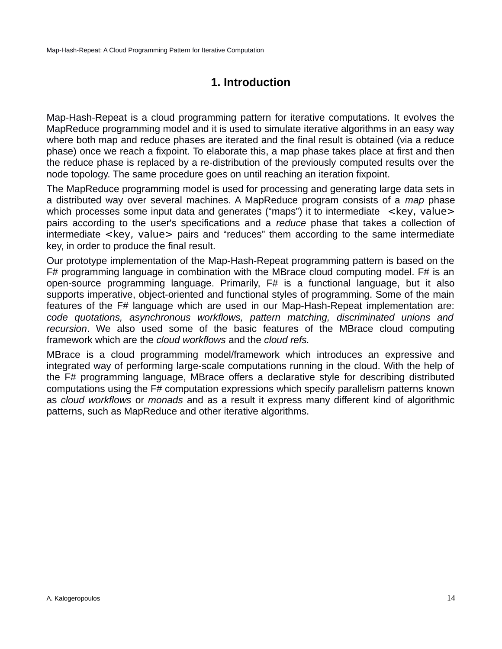## <span id="page-12-0"></span>**1. Introduction**

Map-Hash-Repeat is a cloud programming pattern for iterative computations. It evolves the MapReduce programming model and it is used to simulate iterative algorithms in an easy way where both map and reduce phases are iterated and the final result is obtained (via a reduce phase) once we reach a fixpoint. To elaborate this, a map phase takes place at first and then the reduce phase is replaced by a re-distribution of the previously computed results over the node topology. The same procedure goes on until reaching an iteration fixpoint.

The MapReduce programming model is used for processing and generating large data sets in a distributed way over several machines. A MapReduce program consists of a *map* phase which processes some input data and generates ("maps") it to intermediate  $\leq$ key, value> pairs according to the user's specifications and a *reduce* phase that takes a collection of intermediate <key, value> pairs and "reduces" them according to the same intermediate key, in order to produce the final result.

Our prototype implementation of the Map-Hash-Repeat programming pattern is based on the  $F#$  programming language in combination with the MBrace cloud computing model.  $F#$  is an open-source programming language. Primarily, F# is a functional language, but it also supports imperative, object-oriented and functional styles of programming. Some of the main features of the F# language which are used in our Map-Hash-Repeat implementation are: *code quotations, asynchronous workflows, pattern matching, discriminated unions and recursion*. We also used some of the basic features of the MBrace cloud computing framework which are the *cloud workflows* and the *cloud refs.*

MBrace is a cloud programming model/framework which introduces an expressive and integrated way of performing large-scale computations running in the cloud. With the help of the F# programming language, MBrace offers a declarative style for describing distributed computations using the F# computation expressions which specify parallelism patterns known as *cloud workflows* or *monads* and as a result it express many different kind of algorithmic patterns, such as MapReduce and other iterative algorithms.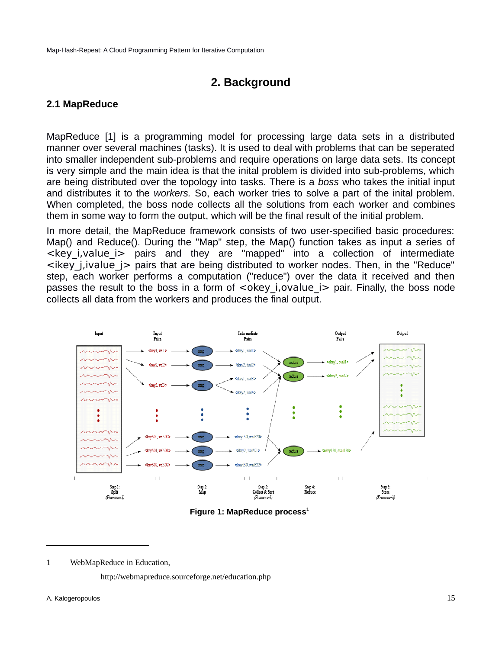## <span id="page-13-1"></span>**2. Background**

### <span id="page-13-0"></span>**2.1 MapReduce**

MapReduce [\[1\]](#page-43-1) is a programming model for processing large data sets in a distributed manner over several machines (tasks). It is used to deal with problems that can be seperated into smaller independent sub-problems and require operations on large data sets. Its concept is very simple and the main idea is that the inital problem is divided into sub-problems, which are being distributed over the topology into tasks. There is a *boss* who takes the initial input and distributes it to the *workers.* So, each worker tries to solve a part of the inital problem. When completed, the boss node collects all the solutions from each worker and combines them in some way to form the output, which will be the final result of the initial problem.

In more detail, the MapReduce framework consists of two user-specified basic procedures: Map() and Reduce(). During the "Map" step, the Map() function takes as input a series of  $\leq$ key i,value i $>$  pairs and they are "mapped" into a collection of intermediate  $\leq$ ikey j,ivalue  $\geq$  pairs that are being distributed to worker nodes. Then, in the "Reduce" step, each worker performs a computation ("reduce") over the data it received and then passes the result to the boss in a form of <okey i,ovalue i> pair. Finally, the boss node collects all data from the workers and produces the final output.



<span id="page-13-2"></span>**Figure 1: MapReduce process[1](#page-13-3)**

<span id="page-13-4"></span><span id="page-13-3"></span>1 WebMapReduce in Education,

http://webmapreduce.sourceforge.net/education.php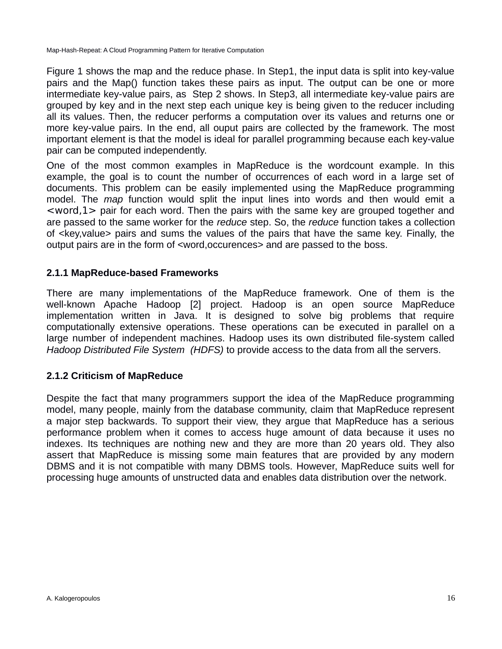[Figure 1](#page-13-2) shows the map and the reduce phase. In Step1, the input data is split into key-value pairs and the Map() function takes these pairs as input. The output can be one or more intermediate key-value pairs, as Step 2 shows. In Step3, all intermediate key-value pairs are grouped by key and in the next step each unique key is being given to the reducer including all its values. Then, the reducer performs a computation over its values and returns one or more key-value pairs. In the end, all ouput pairs are collected by the framework. The most important element is that the model is ideal for parallel programming because each key-value pair can be computed independently.

One of the most common examples in MapReduce is the wordcount example. In this example, the goal is to count the number of occurrences of each word in a large set of documents. This problem can be easily implemented using the MapReduce programming model. The *map* function would split the input lines into words and then would emit a  $\langle$  <word, 1 > pair for each word. Then the pairs with the same key are grouped together and are passed to the same worker for the *reduce* step. So, the *reduce* function takes a collection of <key,value> pairs and sums the values of the pairs that have the same key. Finally, the output pairs are in the form of <word,occurences> and are passed to the boss.

### <span id="page-14-1"></span>**2.1.1 MapReduce-based Frameworks**

There are many implementations of the MapReduce framework. One of them is the well-known Apache Hadoop [\[2\]](#page-43-2) project. Hadoop is an open source MapReduce implementation written in Java. It is designed to solve big problems that require computationally extensive operations. These operations can be executed in parallel on a large number of independent machines. Hadoop uses its own distributed file-system called *Hadoop Distributed File System (HDFS)* to provide access to the data from all the servers.

## <span id="page-14-0"></span>**2.1.2 Criticism of MapReduce**

Despite the fact that many programmers support the idea of the MapReduce programming model, many people, mainly from the database community, claim that MapReduce represent a major step backwards. To support their view, they argue that MapReduce has a serious performance problem when it comes to access huge amount of data because it uses no indexes. Its techniques are nothing new and they are more than 20 years old. They also assert that MapReduce is missing some main features that are provided by any modern DBMS and it is not compatible with many DBMS tools. However, MapReduce suits well for processing huge amounts of unstructed data and enables data distribution over the network.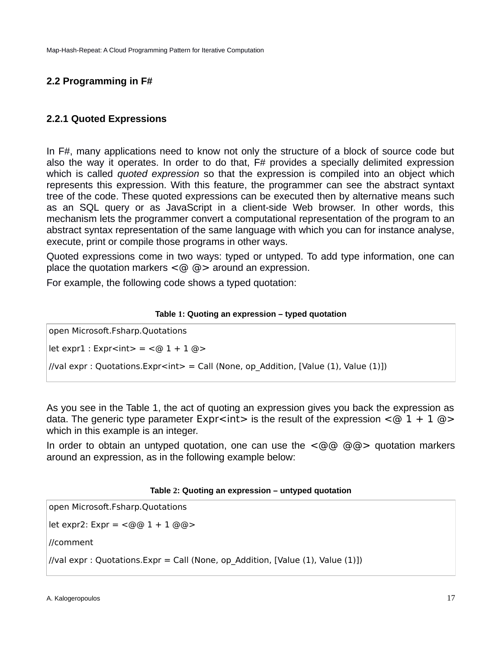## <span id="page-15-1"></span>**2.2 Programming in F#**

### <span id="page-15-0"></span>**2.2.1 Quoted Expressions**

In F#, many applications need to know not only the structure of a block of source code but also the way it operates. In order to do that, F# provides a specially delimited expression which is called *quoted expression* so that the expression is compiled into an object which represents this expression. With this feature, the programmer can see the abstract syntaxt tree of the code. These quoted expressions can be executed then by alternative means such as an SQL query or as JavaScript in a client-side Web browser. In other words, this mechanism lets the programmer convert a computational representation of the program to an abstract syntax representation of the same language with which you can for instance analyse, execute, print or compile those programs in other ways.

Quoted expressions come in two ways: typed or untyped. To add type information, one can place the quotation markers  $\leq$   $\textcircled{a}$  > around an expression.

For example, the following code shows a typed quotation:

#### <span id="page-15-3"></span>**Table 1: Quoting an expression – typed quotation**

open Microsoft.Fsharp.Quotations

 $let expr1 : Expr1 =  $@1 + 1 @>$$ 

//val expr : Quotations. Expr<int> = Call (None, op Addition, [Value (1), Value (1)])

As you see in the Table 1, the act of quoting an expression gives you back the expression as data. The generic type parameter Expr<int> is the result of the expression  $\leq \varpi$  1 + 1  $\varpi$ which in this example is an integer.

In order to obtain an untyped quotation, one can use the  $\leq \circ \circ \circ \circ$  quotation markers around an expression, as in the following example below:

#### <span id="page-15-2"></span>**Table 2: Quoting an expression – untyped quotation**

open Microsoft.Fsharp.Quotations

let expr2:  $Expr = \langle @@ 1 + 1 @@ > 0 \rangle$ 

//comment

//val expr : Quotations. Expr = Call (None, op Addition, [Value (1), Value (1)])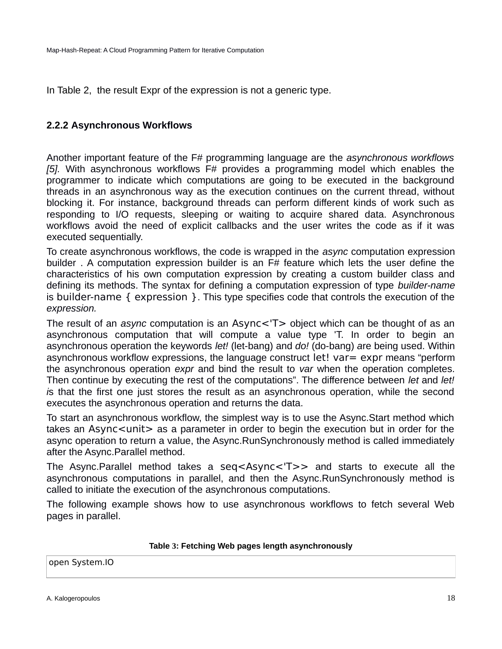In Table 2, the result Expr of the expression is not a generic type.

### <span id="page-16-0"></span>**2.2.2 Asynchronous Workflows**

Another important feature of the F# programming language are the *asynchronous workflows [\[5\].](#page-43-3)* With asynchronous workflows F# provides a programming model which enables the programmer to indicate which computations are going to be executed in the background threads in an asynchronous way as the execution continues on the current thread, without blocking it. For instance, background threads can perform different kinds of work such as responding to I/O requests, sleeping or waiting to acquire shared data. Asynchronous workflows avoid the need of explicit callbacks and the user writes the code as if it was executed sequentially.

To create asynchronous workflows, the code is wrapped in the *async* computation expression builder . A computation expression builder is an F# feature which lets the user define the characteristics of his own computation expression by creating a custom builder class and defining its methods. The syntax for defining a computation expression of type *builder-name* is builder-name { expression }. This type specifies code that controls the execution of the *expression.*

The result of an *async* computation is an Async<'T> object which can be thought of as an asynchronous computation that will compute a value type 'T. In order to begin an asynchronous operation the keywords *let!* (let-bang) and *do!* (do-bang) *a*re being used. Within asynchronous workflow expressions, the language construct let! var= expr means "perform the asynchronous operation *expr* and bind the result to *var* when the operation completes. Then continue by executing the rest of the computations". The difference between *let* and *let! i*s that the first one just stores the result as an asynchronous operation, while the second executes the asynchronous operation and returns the data.

To start an asynchronous workflow, the simplest way is to use the Async.Start method which takes an Async<unit> as a parameter in order to begin the execution but in order for the async operation to return a value, the Async.RunSynchronously method is called immediately after the Async.Parallel method.

The Async.Parallel method takes a seq<Async<'T>> and starts to execute all the asynchronous computations in parallel, and then the Async.RunSynchronously method is called to initiate the execution of the asynchronous computations.

The following example shows how to use asynchronous workflows to fetch several Web pages in parallel.

#### <span id="page-16-1"></span>**Table 3: Fetching Web pages length asynchronously**

open System.IO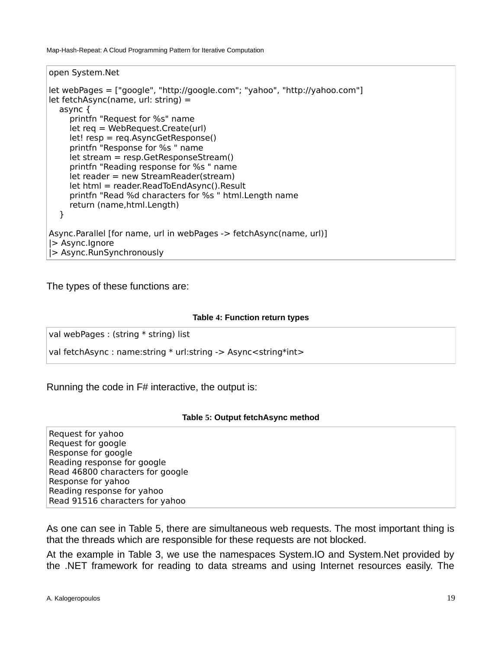open System.Net

```
let webPages = ["google", "http://google.com"; "yahoo", "http://yahoo.com"]
let fetchAsync(name, url: string) = 
   async {
     printfn "Request for %s" name
     let req = WebRequest.Create(url)
     let! resp = req.AsyncGetResponse()
      printfn "Response for %s " name
     let stream = resp.GetResponseStream()
     printfn "Reading response for %s " name
     let reader = new StreamReader(stream)
     let html = reader.ReadToEndAsync().Result
     printfn "Read %d characters for %s " html.Length name
     return (name,html.Length)
   }
Async.Parallel [for name, url in webPages -> fetchAsync(name, url)]
|> Async.Ignore
|> Async.RunSynchronously
```
The types of these functions are:

#### <span id="page-17-1"></span>**Table 4: Function return types**

val webPages : (string \* string) list

val fetchAsync : name: string \* url: string -> Async<string \* int>

Running the code in F# interactive, the output is:

#### <span id="page-17-0"></span>**Table 5: Output fetchAsync method**

Request for yahoo Request for google Response for google Reading response for google Read 46800 characters for google Response for yahoo Reading response for yahoo Read 91516 characters for yahoo

As one can see in Table 5, there are simultaneous web requests. The most important thing is that the threads which are responsible for these requests are not blocked.

At the example in Table 3, we use the namespaces System.IO and System.Net provided by the .NET framework for reading to data streams and using Internet resources easily. The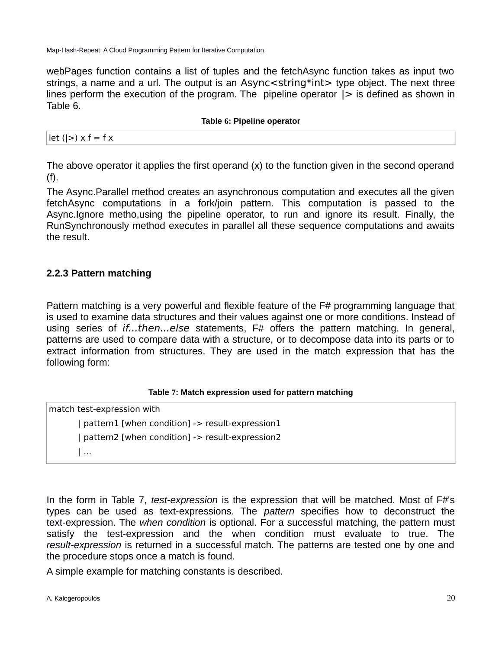webPages function contains a list of tuples and the fetchAsync function takes as input two strings, a name and a url. The output is an Async<string\*int> type object. The next three lines perform the execution of the program. The pipeline operator  $|>$  is defined as shown in Table 6.

#### <span id="page-18-2"></span>**Table 6: Pipeline operator**

| $let (>= x f = f x)$ |  |  |  |  |  |  |
|----------------------|--|--|--|--|--|--|
|----------------------|--|--|--|--|--|--|

The above operator it applies the first operand (x) to the function given in the second operand (f).

The Async.Parallel method creates an asynchronous computation and executes all the given fetchAsync computations in a fork/join pattern. This computation is passed to the Async.Ignore metho,using the pipeline operator, to run and ignore its result. Finally, the RunSynchronously method executes in parallel all these sequence computations and awaits the result.

### <span id="page-18-0"></span>**2.2.3 Pattern matching**

Pattern matching is a very powerful and flexible feature of the F# programming language that is used to examine data structures and their values against one or more conditions. Instead of using series of *if...then...else* statements, F# offers the pattern matching. In general, patterns are used to compare data with a structure, or to decompose data into its parts or to extract information from structures. They are used in the match expression that has the following form:

### <span id="page-18-1"></span>**Table 7: Match expression used for pattern matching**

match test-expression with

| pattern1 [when condition] -> result-expression1 | pattern2 [when condition] -> result-expression2 | ...

In the form in Table 7, *test-expression* is the expression that will be matched. Most of F#'s types can be used as text-expressions. The *pattern* specifies how to deconstruct the text-expression. The *when condition* is optional. For a successful matching, the pattern must satisfy the test-expression and the when condition must evaluate to true. The *result-expression* is returned in a successful match. The patterns are tested one by one and the procedure stops once a match is found.

A simple example for matching constants is described.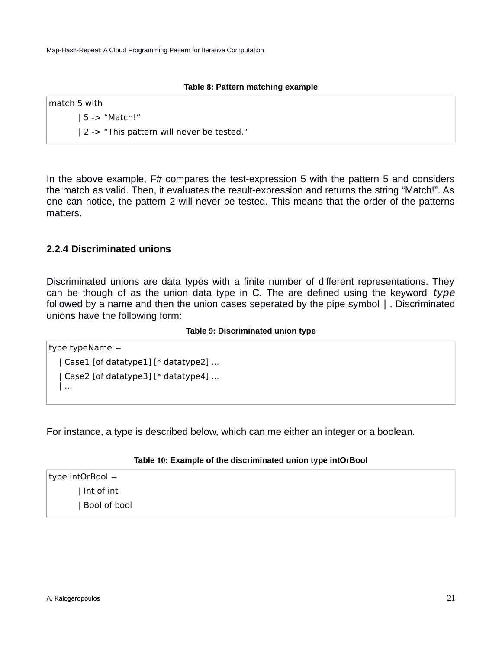#### <span id="page-19-3"></span>**Table 8: Pattern matching example**

match 5 with | 5 -> "Match!" | 2 -> "This pattern will never be tested."

In the above example, F# compares the test-expression 5 with the pattern 5 and considers the match as valid. Then, it evaluates the result-expression and returns the string "Match!". As one can notice, the pattern 2 will never be tested. This means that the order of the patterns matters.

### <span id="page-19-0"></span>**2.2.4 Discriminated unions**

Discriminated unions are data types with a finite number of different representations. They can be though of as the union data type in C. The are defined using the keyword type followed by a name and then the union cases seperated by the pipe symbol | . Discriminated unions have the following form:

#### <span id="page-19-2"></span>**Table 9: Discriminated union type**

```
type typeName =
   | Case1 [of datatype1] [* datatype2] ...
    | Case2 [of datatype3] [* datatype4] ...
   | ...
```
For instance, a type is described below, which can me either an integer or a boolean.

#### <span id="page-19-1"></span>**Table 10: Example of the discriminated union type intOrBool**

type intOrBool = | Int of int | Bool of bool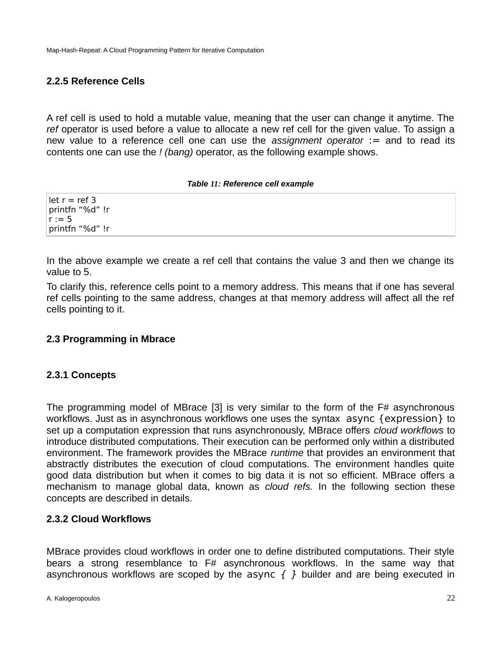## <span id="page-20-3"></span>**2.2.5 Reference Cells**

A ref cell is used to hold a mutable value, meaning that the user can change it anytime. The *ref* operator is used before a value to allocate a new ref cell for the given value. To assign a new value to a reference cell one can use the *assignment operator* := and to read its contents one can use the *! (bang)* operator, as the following example shows.

#### <span id="page-20-4"></span>*Table 11: Reference cell example*

let  $r = ref 3$ printfn "%d" !r  $r := 5$ printfn "%d" !r

In the above example we create a ref cell that contains the value 3 and then we change its value to 5.

To clarify this, reference cells point to a memory address. This means that if one has several ref cells pointing to the same address, changes at that memory address will affect all the ref cells pointing to it.

### <span id="page-20-2"></span>**2.3 Programming in Mbrace**

### <span id="page-20-1"></span>**2.3.1 Concepts**

The programming model of MBrace [\[3\]](#page-43-4) is very similar to the form of the F# asynchronous workflows. Just as in asynchronous workflows one uses the syntax async {expression} to set up a computation expression that runs asynchronously, MBrace offers *cloud workflows* to introduce distributed computations. Their execution can be performed only within a distributed environment. The framework provides the MBrace *runtime* that provides an environment that abstractly distributes the execution of cloud computations. The environment handles quite good data distribution but when it comes to big data it is not so efficient. MBrace offers a mechanism to manage global data, known as *cloud refs.* In the following section these concepts are described in details.

### <span id="page-20-0"></span>**2.3.2 Cloud Workflows**

MBrace provides cloud workflows in order one to define distributed computations. Their style bears a strong resemblance to F# asynchronous workflows. In the same way that asynchronous workflows are scoped by the async  $\{ \}$  builder and are being executed in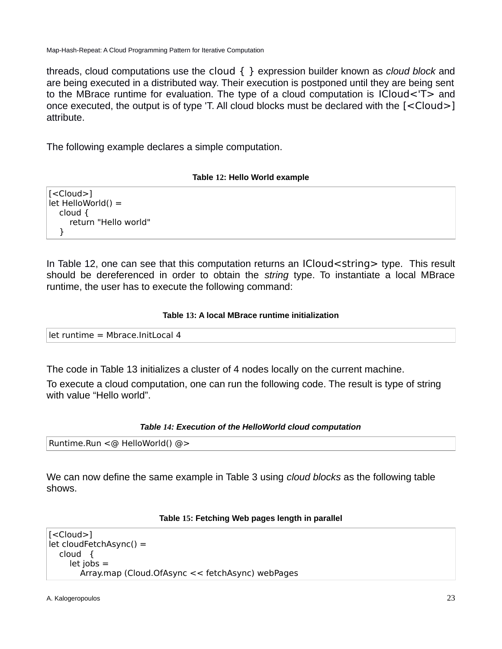threads, cloud computations use the cloud { } expression builder known as *cloud block* and are being executed in a distributed way. Their execution is postponed until they are being sent to the MBrace runtime for evaluation. The type of a cloud computation is ICloud<'T> and once executed, the output is of type 'T. All cloud blocks must be declared with the [<Cloud>] attribute.

The following example declares a simple computation.

#### <span id="page-21-3"></span>**Table 12: Hello World example**

[<Cloud>]  $let$  HelloWorld $() =$  cloud { return "Hello world" }

In Table 12, one can see that this computation returns an ICloud<string> type. This result should be dereferenced in order to obtain the *string* type. To instantiate a local MBrace runtime, the user has to execute the following command:

#### <span id="page-21-2"></span>**Table 13: A local MBrace runtime initialization**

| let runtime = Mbrace.InitLocal 4 |
|----------------------------------|
|                                  |

The code in Table 13 initializes a cluster of 4 nodes locally on the current machine.

To execute a cloud computation, one can run the following code. The result is type of string with value "Hello world".

### <span id="page-21-1"></span>*Table 14: Execution of the HelloWorld cloud computation*

```
Runtime.Run <@ HelloWorld() @>
```
We can now define the same example in Table 3 using *cloud blocks* as the following table shows.

#### <span id="page-21-0"></span>**Table 15: Fetching Web pages length in parallel**

```
[<Cloud>]
let cloudFetchAsync() = 
   cloud {
     let jobs = 
        Array.map (Cloud.OfAsync << fetchAsync) webPages
```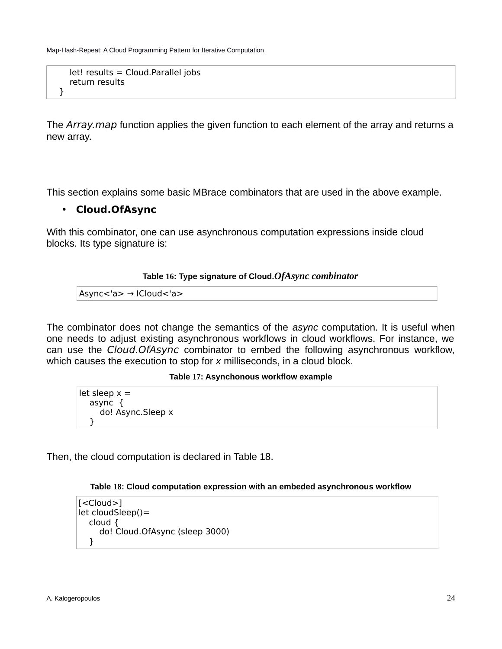```
 let! results = Cloud.Parallel jobs
 return results
```
The *Array.map* function applies the given function to each element of the array and returns a new array.

This section explains some basic MBrace combinators that are used in the above example.

### • **Cloud.OfAsync**

}

With this combinator, one can use asynchronous computation expressions inside cloud blocks. Its type signature is:

#### <span id="page-22-2"></span>**Table 16: Type signature of Cloud.***OfAsync combinator*

Async<'a> → ICloud<'a>

The combinator does not change the semantics of the *async* computation. It is useful when one needs to adjust existing asynchronous workflows in cloud workflows. For instance, we can use the Cloud.OfAsync combinator to embed the following asynchronous workflow, which causes the execution to stop for *x* milliseconds, in a cloud block.

#### <span id="page-22-1"></span>**Table 17: Asynchonous workflow example**

let sleep  $x =$  async { do! Async.Sleep x }

Then, the cloud computation is declared in Table 18.

#### <span id="page-22-0"></span>**Table 18: Cloud computation expression with an embeded asynchronous workflow**

```
[<Cloud>]
let cloudSleep()= 
   cloud {
      do! Cloud.OfAsync (sleep 3000)
   }
```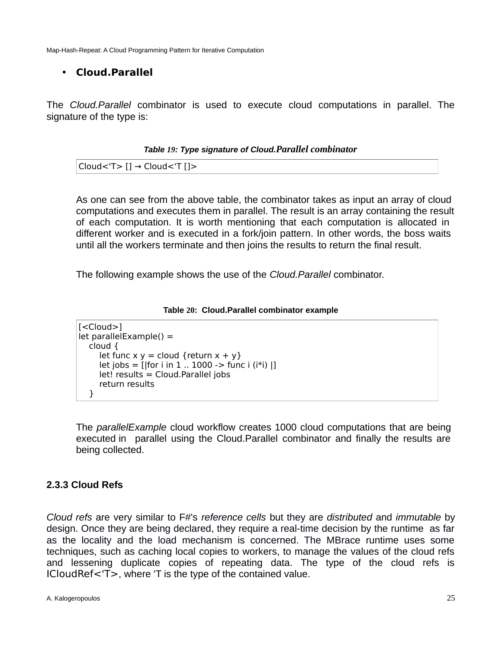## • **Cloud.Parallel**

The *Cloud.Parallel* combinator is used to execute cloud computations in parallel. The signature of the type is:

<span id="page-23-2"></span>*Table 19: Type signature of Cloud.Parallel combinator*

```
Cloud<'T> [] → Cloud<'T []>
```
As one can see from the above table, the combinator takes as input an array of cloud computations and executes them in parallel. The result is an array containing the result of each computation. It is worth mentioning that each computation is allocated in different worker and is executed in a fork/join pattern. In other words, the boss waits until all the workers terminate and then joins the results to return the final result.

The following example shows the use of the *Cloud.Parallel* combinator.

#### <span id="page-23-1"></span>**Table 20: Cloud.Parallel combinator example**

[<Cloud>] let parallelExample() = cloud { let func  $x y =$  cloud {return  $x + y$ }  $let jobs = [for i in 1 .. 1000 -> func i (i *i) ]]$  $let!$  results = Cloud. Parallel jobs return results }

The *parallelExample* cloud workflow creates 1000 cloud computations that are being executed in parallel using the Cloud.Parallel combinator and finally the results are being collected.

## <span id="page-23-0"></span>**2.3.3 Cloud Refs**

*Cloud refs* are very similar to F#'s *reference cells* but they are *distributed* and *immutable* by design. Once they are being declared, they require a real-time decision by the runtime as far as the locality and the load mechanism is concerned. The MBrace runtime uses some techniques, such as caching local copies to workers, to manage the values of the cloud refs and lessening duplicate copies of repeating data. The type of the cloud refs is ICloudRef<'T>, where 'T is the type of the contained value.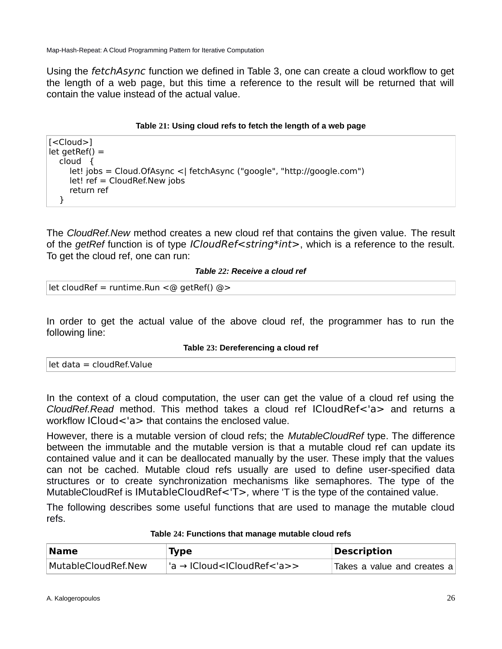Using the fetchAsync function we defined in Table 3, one can create a cloud workflow to get the length of a web page, but this time a reference to the result will be returned that will contain the value instead of the actual value.

### <span id="page-24-3"></span>**Table 21: Using cloud refs to fetch the length of a web page**

[<Cloud>]  $let getRef() =$  cloud { let! jobs = Cloud.OfAsync <| fetchAsync ("google", "http://google.com") let! ref = CloudRef.New jobs return ref }

The *CloudRef.New* method creates a new cloud ref that contains the given value. The result of the *getRef* function is of type ICloudRef<string\*int>, which is a reference to the result. To get the cloud ref, one can run:

### <span id="page-24-2"></span>*Table 22: Receive a cloud ref*

```
let cloudRef = runtime.Run <@ getRef() @>
```
In order to get the actual value of the above cloud ref, the programmer has to run the following line:

#### <span id="page-24-1"></span>**Table 23: Dereferencing a cloud ref**

|  | let data = cloudRef.Value |
|--|---------------------------|
|--|---------------------------|

In the context of a cloud computation, the user can get the value of a cloud ref using the *CloudRef.Read* method. This method takes a cloud ref ICloudRef<'a> and returns a workflow ICloud<'a> that contains the enclosed value.

However, there is a mutable version of cloud refs; the *MutableCloudRef* type. The difference between the immutable and the mutable version is that a mutable cloud ref can update its contained value and it can be deallocated manually by the user. These imply that the values can not be cached. Mutable cloud refs usually are used to define user-specified data structures or to create synchronization mechanisms like semaphores. The type of the MutableCloudRef is IMutableCloudRef<'T>*,* where 'T is the type of the contained value.

The following describes some useful functions that are used to manage the mutable cloud refs.

| <b>Name</b>         | <b>Type</b>                                   | <b>Description</b>          |
|---------------------|-----------------------------------------------|-----------------------------|
| MutableCloudRef.New | 'a → ICloud <icloudref<'a>&gt;</icloudref<'a> | Takes a value and creates a |

#### <span id="page-24-0"></span>**Table 24: Functions that manage mutable cloud refs**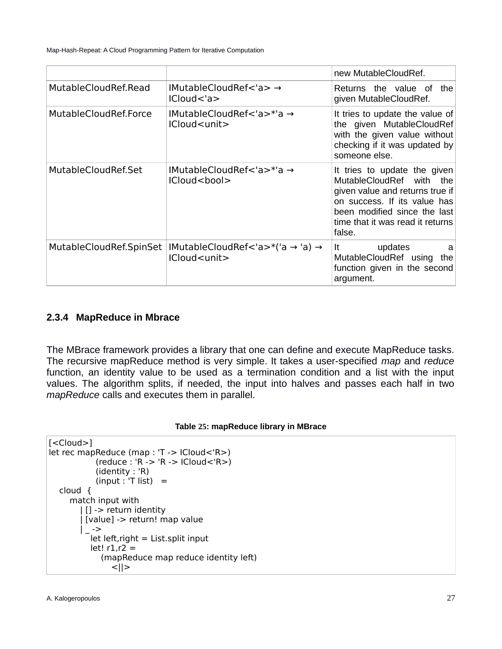|                         |                                                            | new MutableCloudRef.                                                                                                                                                                                      |
|-------------------------|------------------------------------------------------------|-----------------------------------------------------------------------------------------------------------------------------------------------------------------------------------------------------------|
| MutableCloudRef.Read    | IMutableCloudRef<'a> →<br>ICloud < a>                      | Returns the value of<br>the<br>given MutableCloudRef.                                                                                                                                                     |
| MutableCloudRef.Force   | IMutableCloudRef<'a>*'a →<br>ICloud <unit></unit>          | It tries to update the value of<br>the given MutableCloudRef<br>with the given value without<br>checking if it was updated by<br>someone else.                                                            |
| MutableCloudRef.Set     | IMutableCloudRef<'a>*'a →<br>ICloud <bool></bool>          | It tries to update the given<br>MutableCloudRef with the<br>given value and returns true if<br>on success. If its value has<br>been modified since the last<br>time that it was read it returns<br>false. |
| MutableCloudRef.SpinSet | IMutableCloudRef < 'a>*('a → 'a) →<br>ICloud <unit></unit> | updates<br>It<br>a<br>MutableCloudRef using<br>the<br>function given in the second<br>argument.                                                                                                           |

### <span id="page-25-0"></span>**2.3.4 MapReduce in Mbrace**

The MBrace framework provides a library that one can define and execute MapReduce tasks. The recursive mapReduce method is very simple. It takes a user-specified *map* and *reduce* function, an identity value to be used as a termination condition and a list with the input values. The algorithm splits, if needed, the input into halves and passes each half in two *mapReduce* calls and executes them in parallel.

#### <span id="page-25-1"></span>**Table 25: mapReduce library in MBrace**

```
[<Cloud>]
let rec mapReduce (map : 'T -> ICloud<'R>)
             (reduce : 'R -> 'R -> ICloud<'R>)
             (identity : 'R)
           (input : T list) = cloud {
      match input with
        | [] -> return identity
         | [value] -> return! map value
       | \rightarrowlet left, right = List.split inputlet! r1, r2 = (mapReduce map reduce identity left)
                <||>
```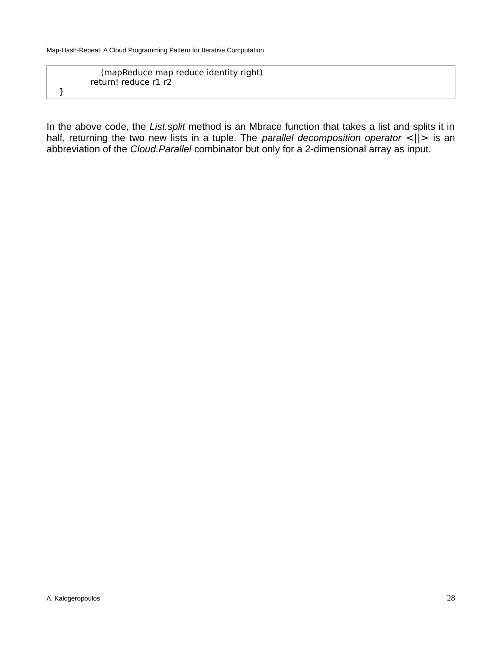}

 (mapReduce map reduce identity right) return! reduce r1 r2

In the above code, the *List.split* method is an Mbrace function that takes a list and splits it in half, returning the two new lists in a tuple. The *parallel decomposition operator* <||> is an abbreviation of the *Cloud.Parallel* combinator but only for a 2-dimensional array as input.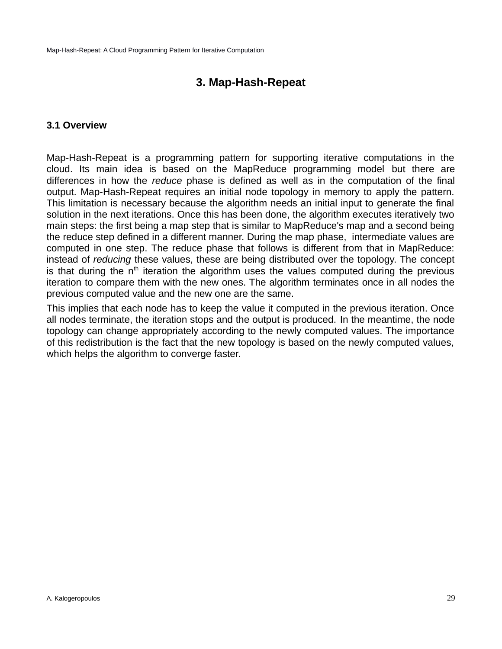## <span id="page-27-1"></span>**3. Map-Hash-Repeat**

#### <span id="page-27-0"></span>**3.1 Overview**

Map-Hash-Repeat is a programming pattern for supporting iterative computations in the cloud. Its main idea is based on the MapReduce programming model but there are differences in how the *reduce* phase is defined as well as in the computation of the final output. Map-Hash-Repeat requires an initial node topology in memory to apply the pattern. This limitation is necessary because the algorithm needs an initial input to generate the final solution in the next iterations. Once this has been done, the algorithm executes iteratively two main steps: the first being a map step that is similar to MapReduce's map and a second being the reduce step defined in a different manner. During the map phase, intermediate values are computed in one step. The reduce phase that follows is different from that in MapReduce: instead of *reducing* these values, these are being distributed over the topology. The concept is that during the  $n<sup>th</sup>$  iteration the algorithm uses the values computed during the previous iteration to compare them with the new ones. The algorithm terminates once in all nodes the previous computed value and the new one are the same.

This implies that each node has to keep the value it computed in the previous iteration. Once all nodes terminate, the iteration stops and the output is produced. In the meantime, the node topology can change appropriately according to the newly computed values. The importance of this redistribution is the fact that the new topology is based on the newly computed values, which helps the algorithm to converge faster.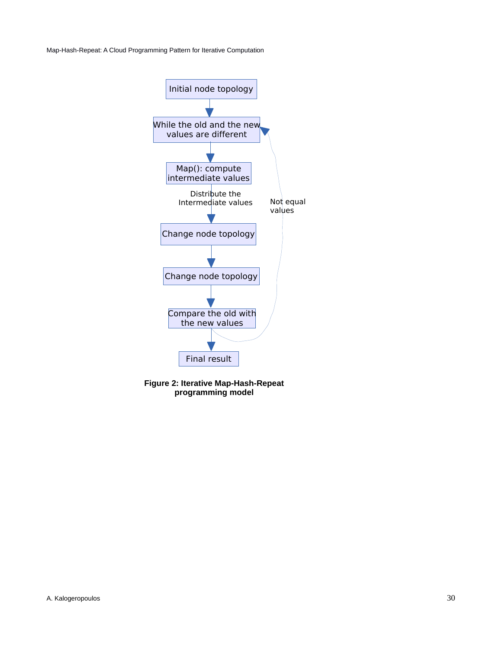

**Figure 2: Iterative Map-Hash-Repeat programming model**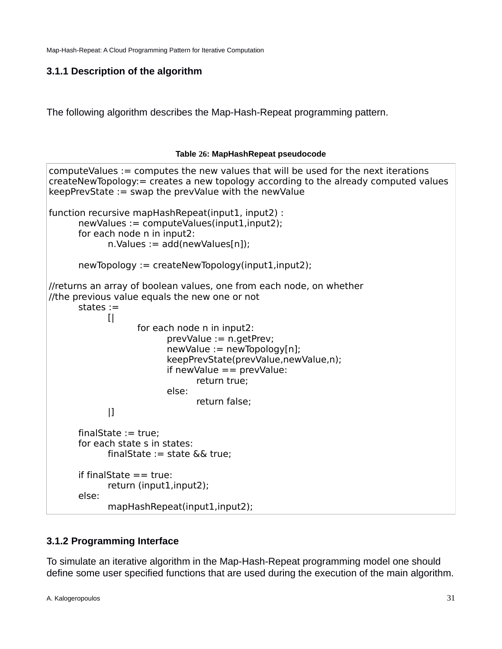## <span id="page-29-1"></span>**3.1.1 Description of the algorithm**

The following algorithm describes the Map-Hash-Repeat programming pattern.

#### <span id="page-29-2"></span>**Table 26: MapHashRepeat pseudocode**

```
computeValues := computes the new values that will be used for the next iterations
createNewTopology:= creates a new topology according to the already computed values
keepPrevState := swap the prevValue with the newValue
function recursive mapHashRepeat(input1, input2) : 
      newValues := computeValues(input1, input2);for each node n in input2:
            n.Values := add(newValues[n]):newTopology := createNewTopology(input1,input2);
//returns an array of boolean values, one from each node, on whether 
//the previous value equals the new one or not
      states :=
            [| 
                   for each node n in input2:
                         prevValue := n.getPrev;
                         newValue := newTopology[n];
                         keepPrevState(prevValue,newValue,n);
                         if newValue == prevValue:
                               return true;
                         else:
                               return false;
            |]finalState := true:
      for each state s in states:
            finalState := state && true:
      if finalState == true:
            return (input1,input2);
      else:
            mapHashRepeat(input1,input2);
```
## <span id="page-29-0"></span>**3.1.2 Programming Interface**

To simulate an iterative algorithm in the Map-Hash-Repeat programming model one should define some user specified functions that are used during the execution of the main algorithm.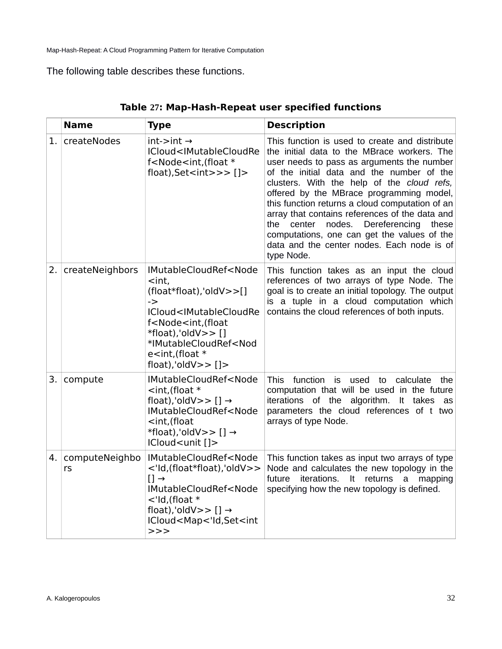## The following table describes these functions.

|      | <b>Name</b>          | <b>Type</b>                                                                                                                                                                                                                                                                                                                                                                                                    | <b>Description</b>                                                                                                                                                                                                                                                                                                                                                                                                                                                                                                                                   |
|------|----------------------|----------------------------------------------------------------------------------------------------------------------------------------------------------------------------------------------------------------------------------------------------------------------------------------------------------------------------------------------------------------------------------------------------------------|------------------------------------------------------------------------------------------------------------------------------------------------------------------------------------------------------------------------------------------------------------------------------------------------------------------------------------------------------------------------------------------------------------------------------------------------------------------------------------------------------------------------------------------------------|
| 1.   | createNodes          | $int\rightarrow int \rightarrow$<br>ICloud <imutablecloudre<br>f<node<int, (float="" *<br="">float), Set <int>&gt;&gt;<math>[]</math>&gt;</int></node<int,></imutablecloudre<br>                                                                                                                                                                                                                               | This function is used to create and distribute<br>the initial data to the MBrace workers. The<br>user needs to pass as arguments the number<br>of the initial data and the number of the<br>clusters. With the help of the cloud refs,<br>offered by the MBrace programming model,<br>this function returns a cloud computation of an<br>array that contains references of the data and<br>center nodes.<br>Dereferencing<br>the<br>these<br>computations, one can get the values of the<br>data and the center nodes. Each node is of<br>type Node. |
| 2.1  | createNeighbors      | IMutableCloudRef <node<br><math>&lt;</math>int,<br/><math>(float*fload), 'oldV&gt;&gt;[]</math><br/><math>\rightarrow</math><br/>ICloud<imutablecloudre<br>f<node<int,(float<br><math>*float), 'oldV&gt;&gt; []</math><br/>*IMutableCloudRef<nod<br><math>e</math> <int, (float="" <math="">*<br/>float), 'oldV&gt;&gt;<math>[]</math>&gt;</int,></nod<br></node<int,(float<br></imutablecloudre<br></node<br> | This function takes as an input the cloud<br>references of two arrays of type Node. The<br>goal is to create an initial topology. The output<br>is a tuple in a cloud computation which<br>contains the cloud references of both inputs.                                                                                                                                                                                                                                                                                                             |
| 3. I | compute              | IMutableCloudRef <node<br><math>\lt</math>int, (float <math>*</math><br/>float), 'oldV&gt;&gt; [] <math>\rightarrow</math><br/>IMutableCloudRef<node<br><int,(float<br>*float), 'oldV&gt;&gt; [] <math>\rightarrow</math><br/>ICloud<unit []=""></unit></int,(float<br></node<br></node<br>                                                                                                                    | <b>This</b><br>function is used<br>calculate<br>to<br>the<br>computation that will be used in the future<br>iterations of the algorithm.<br>It takes<br>as<br>parameters the cloud references of t two<br>arrays of type Node.                                                                                                                                                                                                                                                                                                                       |
| 4.   | computeNeighbo<br>rs | IMutableCloudRef <node<br>&lt;'ld,(float*float),'oldV&gt;&gt;<br/><math>[] \rightarrow</math><br/>IMutableCloudRef<node<br><math>\lt</math>'ld, (float <math>*</math><br/>float), 'oldV&gt;&gt; [] <math>\rightarrow</math><br/>ICloud<map<'id,set<int<br>&gt;&gt;&gt;</map<'id,set<int<br></node<br></node<br>                                                                                                | This function takes as input two arrays of type<br>Node and calculates the new topology in the<br>future<br>iterations.<br>It returns a<br>mapping<br>specifying how the new topology is defined.                                                                                                                                                                                                                                                                                                                                                    |

### <span id="page-30-0"></span>**Table 27: Map-Hash-Repeat user specified functions**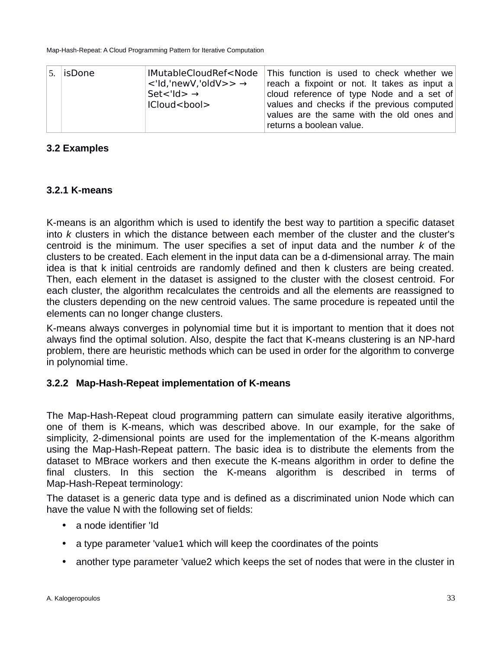|  | 5. isDone | IMutableCloudRef <node<br><math>\langle</math>'ld,'newV,'oldV&gt;&gt; <math>\rightarrow</math><br/><math>Set &lt; I d &gt; \rightarrow</math><br/>ICloud<bool></bool></node<br> | This function is used to check whether we<br>reach a fixpoint or not. It takes as input a<br>cloud reference of type Node and a set of<br>values and checks if the previous computed<br>values are the same with the old ones and<br>returns a boolean value. |
|--|-----------|---------------------------------------------------------------------------------------------------------------------------------------------------------------------------------|---------------------------------------------------------------------------------------------------------------------------------------------------------------------------------------------------------------------------------------------------------------|
|--|-----------|---------------------------------------------------------------------------------------------------------------------------------------------------------------------------------|---------------------------------------------------------------------------------------------------------------------------------------------------------------------------------------------------------------------------------------------------------------|

## <span id="page-31-2"></span>**3.2 Examples**

## <span id="page-31-1"></span>**3.2.1 K-means**

K-means is an algorithm which is used to identify the best way to partition a specific dataset into *k* clusters in which the distance between each member of the cluster and the cluster's centroid is the minimum. The user specifies a set of input data and the number *k* of the clusters to be created. Each element in the input data can be a d-dimensional array. The main idea is that k initial centroids are randomly defined and then k clusters are being created. Then, each element in the dataset is assigned to the cluster with the closest centroid. For each cluster, the algorithm recalculates the centroids and all the elements are reassigned to the clusters depending on the new centroid values. The same procedure is repeated until the elements can no longer change clusters.

K-means always converges in polynomial time but it is important to mention that it does not always find the optimal solution. Also, despite the fact that K-means clustering is an NP-hard problem, there are heuristic methods which can be used in order for the algorithm to converge in polynomial time.

## <span id="page-31-0"></span>**3.2.2 Map-Hash-Repeat implementation of K-means**

The Map-Hash-Repeat cloud programming pattern can simulate easily iterative algorithms, one of them is K-means, which was described above. In our example, for the sake of simplicity, 2-dimensional points are used for the implementation of the K-means algorithm using the Map-Hash-Repeat pattern. The basic idea is to distribute the elements from the dataset to MBrace workers and then execute the K-means algorithm in order to define the final clusters. In this section the K-means algorithm is described in terms of Map-Hash-Repeat terminology:

The dataset is a generic data type and is defined as a discriminated union Node which can have the value N with the following set of fields:

- a node identifier 'Id
- a type parameter 'value1 which will keep the coordinates of the points
- another type parameter 'value2 which keeps the set of nodes that were in the cluster in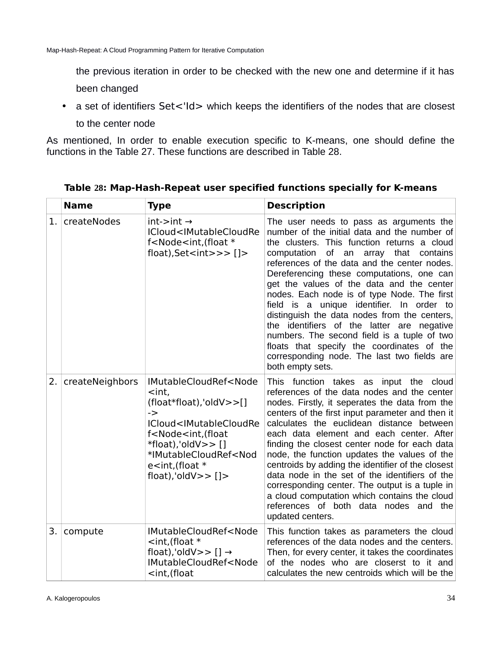the previous iteration in order to be checked with the new one and determine if it has been changed

• a set of identifiers Set<'Id> which keeps the identifiers of the nodes that are closest

to the center node

As mentioned, In order to enable execution specific to K-means, one should define the functions in the Table 27. These functions are described in Table 28.

|     | <b>Name</b>     | Type                                                                                                                                                                                                                                                                                                                                                                                                                                                                    | <b>Description</b>                                                                                                                                                                                                                                                                                                                                                                                                                                                                                                                                                                                                                                                                              |
|-----|-----------------|-------------------------------------------------------------------------------------------------------------------------------------------------------------------------------------------------------------------------------------------------------------------------------------------------------------------------------------------------------------------------------------------------------------------------------------------------------------------------|-------------------------------------------------------------------------------------------------------------------------------------------------------------------------------------------------------------------------------------------------------------------------------------------------------------------------------------------------------------------------------------------------------------------------------------------------------------------------------------------------------------------------------------------------------------------------------------------------------------------------------------------------------------------------------------------------|
| 1.  | createNodes     | $int\rightarrow int \rightarrow$<br>ICloud <imutablecloudre<br>f<node<int, (float="" *<br="">float), Set <math>\langle</math> int<math>\rangle</math> &gt; <math>\langle</math> <math>\rangle</math> =</node<int,></imutablecloudre<br>                                                                                                                                                                                                                                 | The user needs to pass as arguments the<br>number of the initial data and the number of<br>the clusters. This function returns a cloud<br>computation<br>of an<br>that<br>array<br>contains<br>references of the data and the center nodes.<br>Dereferencing these computations, one can<br>get the values of the data and the center<br>nodes. Each node is of type Node. The first<br>field is a unique identifier. In order to<br>distinguish the data nodes from the centers,<br>the identifiers of the latter are negative<br>numbers. The second field is a tuple of two<br>floats that specify the coordinates of the<br>corresponding node. The last two fields are<br>both empty sets. |
| 2.1 | createNeighbors | IMutableCloudRef <node<br><int,<br><math>(float*fload), 'oldV&gt;&gt;[]</math><br/><math>\rightarrow</math><br/>ICloud<imutablecloudre<br>f<node<int,(float<br><math>*float).</math>'oldV&gt;&gt; []<br/>*IMutableCloudRef<nod<br><math>e</math> <int, (float="" <math="">*<br/>float), 'oldV<math>&gt;&gt;</math> []<math>&gt;</math></int,></nod<br></node<int,(float<br></imutablecloudre<br></int,<br></node<br>                                                    | This function takes as input the cloud<br>references of the data nodes and the center<br>nodes. Firstly, it seperates the data from the<br>centers of the first input parameter and then it<br>calculates the euclidean distance between<br>each data element and each center. After<br>finding the closest center node for each data<br>node, the function updates the values of the<br>centroids by adding the identifier of the closest<br>data node in the set of the identifiers of the<br>corresponding center. The output is a tuple in<br>a cloud computation which contains the cloud<br>references of both data nodes and the<br>updated centers.                                     |
| 3.  | compute         | IMutableCloudRef <node<br><math>\lt</math>int, (float <math>*</math><br/>float), 'oldV&gt;&gt; [] <math>\rightarrow</math><br/>IMutableCloudRef<node<br><int,(float< td=""><td>This function takes as parameters the cloud<br/>references of the data nodes and the centers.<br/>Then, for every center, it takes the coordinates<br/>of the nodes who are closerst to it and<br/>calculates the new centroids which will be the</td></int,(float<></node<br></node<br> | This function takes as parameters the cloud<br>references of the data nodes and the centers.<br>Then, for every center, it takes the coordinates<br>of the nodes who are closerst to it and<br>calculates the new centroids which will be the                                                                                                                                                                                                                                                                                                                                                                                                                                                   |

<span id="page-32-0"></span>**Table 28: Map-Hash-Repeat user specified functions specially for K-means**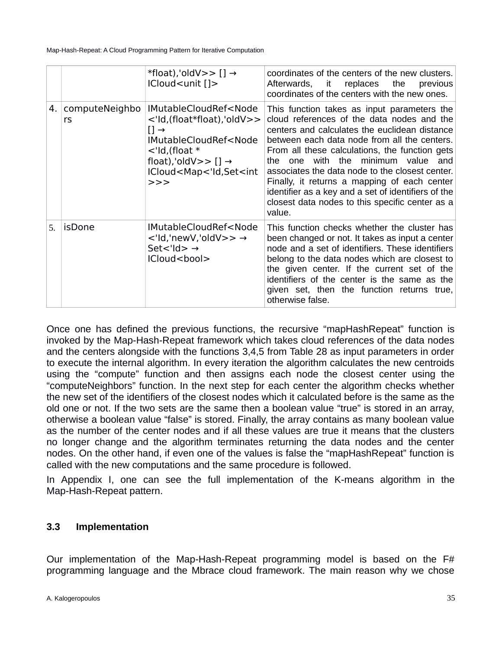|    |                      | *float), 'oldV>> $[] \rightarrow$<br>ICloud <unit []=""></unit>                                                                                                                                                                                                                                            | coordinates of the centers of the new clusters.<br>replaces the<br>Afterwards, it<br>previous<br>coordinates of the centers with the new ones.                                                                                                                                                                                                                                                                                                                                                                  |
|----|----------------------|------------------------------------------------------------------------------------------------------------------------------------------------------------------------------------------------------------------------------------------------------------------------------------------------------------|-----------------------------------------------------------------------------------------------------------------------------------------------------------------------------------------------------------------------------------------------------------------------------------------------------------------------------------------------------------------------------------------------------------------------------------------------------------------------------------------------------------------|
| 4. | computeNeighbo<br>rs | IMutableCloudRef <node<br>&lt;'ld,(float*float),'oldV&gt;&gt;<br/><math>[] \rightarrow</math><br/>IMutableCloudRef<node<br><math>\lt</math>'ld,(float <math>*</math><br/>float), 'oldV&gt;&gt; <math>[] \rightarrow</math><br/>ICloud<map<'id,set<int<br>&gt;&gt;</map<'id,set<int<br></node<br></node<br> | This function takes as input parameters the<br>cloud references of the data nodes and the<br>centers and calculates the euclidean distance<br>between each data node from all the centers.<br>From all these calculations, the function gets<br>with the minimum value and<br>one<br>the<br>associates the data node to the closest center.<br>Finally, it returns a mapping of each center<br>identifier as a key and a set of identifiers of the<br>closest data nodes to this specific center as a<br>value. |
| 5. | isDone               | IMutableCloudRef <node<br><math>\lt</math>'ld,'newV,'oldV&gt;&gt; <math>\rightarrow</math><br/>Set&lt;'ld&gt; <math>\rightarrow</math><br/>ICloud<bool></bool></node<br>                                                                                                                                   | This function checks whether the cluster has<br>been changed or not. It takes as input a center<br>node and a set of identifiers. These identifiers<br>belong to the data nodes which are closest to<br>the given center. If the current set of the<br>identifiers of the center is the same as the<br>given set, then the function returns true,<br>otherwise false.                                                                                                                                           |

Once one has defined the previous functions, the recursive "mapHashRepeat" function is invoked by the Map-Hash-Repeat framework which takes cloud references of the data nodes and the centers alongside with the functions 3,4,5 from Table 28 as input parameters in order to execute the internal algorithm. In every iteration the algorithm calculates the new centroids using the "compute" function and then assigns each node the closest center using the "computeNeighbors" function. In the next step for each center the algorithm checks whether the new set of the identifiers of the closest nodes which it calculated before is the same as the old one or not. If the two sets are the same then a boolean value "true" is stored in an array, otherwise a boolean value "false" is stored. Finally, the array contains as many boolean value as the number of the center nodes and if all these values are true it means that the clusters no longer change and the algorithm terminates returning the data nodes and the center nodes. On the other hand, if even one of the values is false the "mapHashRepeat" function is called with the new computations and the same procedure is followed.

In [Appendix I,](#page-38-0) one can see the full implementation of the K-means algorithm in the Map-Hash-Repeat pattern.

## <span id="page-33-0"></span>**3.3 Implementation**

Our implementation of the Map-Hash-Repeat programming model is based on the F# programming language and the Mbrace cloud framework. The main reason why we chose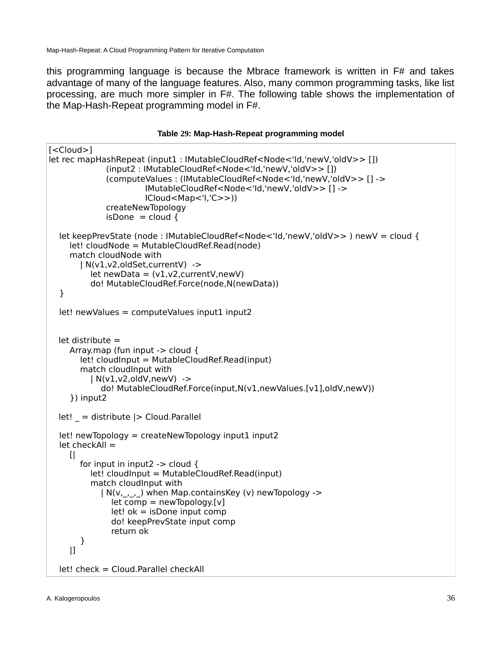this programming language is because the Mbrace framework is written in F# and takes advantage of many of the language features. Also, many common programming tasks, like list processing, are much more simpler in F#. The following table shows the implementation of the Map-Hash-Repeat programming model in F#.

#### <span id="page-34-0"></span>**Table 29: Map-Hash-Repeat programming model**

```
[<Cloud>]
let rec mapHashRepeat (input1 : IMutableCloudRef<Node<'Id,'newV,'oldV>> []) 
              (input2 : IMutableCloudRef<Node<'Id,'newV,'oldV>> []) 
              (computeValues : (IMutableCloudRef<Node<'Id,'newV,'oldV>> [] ->
                        IMutableCloudRef<Node<'Id,'newV,'oldV>> [] ->
                       ICloud<Map<'I,'C>>))
              createNewTopology
             isDone = cloud {
  let keepPrevState (node : IMutableCloudRef<Node<'Id,'newV,'oldV>> ) newV = cloud {
     let! cloudNode = MutableCloudRef.Read(node)
      match cloudNode with 
        | N(v1,v2,oldSet,currentV) -> 
         let newData = (v1,v2, currentV, newV) do! MutableCloudRef.Force(node,N(newData)) 
   } 
  let! newValues = computeValues input1 input2
  let distribute = Array.map (fun input -> cloud {
        let! cloudInput = MutableCloudRef.Read(input)
        match cloudInput with
           | N(v1,v2,oldV,newV) -> 
             do! MutableCloudRef.Force(input,N(v1,newValues.[v1],oldV,newV))
      }) input2
  let! = distribute |> Cloud.Parallel
  let! newTopology = createNewTopology input1 input2
  let checkAll =[for input in input2 \rightarrow cloud {
           let! cloudInput = MutableCloudRef.Read(input)
           match cloudInput with 
             | N(v,_,_,_) when Map.containsKey (v) newTopology ->
               let comp = newTopology.[v]let! ok = isDone input comp
                do! keepPrevState input comp 
                return ok 
        }
      |] 
   let! check = Cloud.Parallel checkAll
```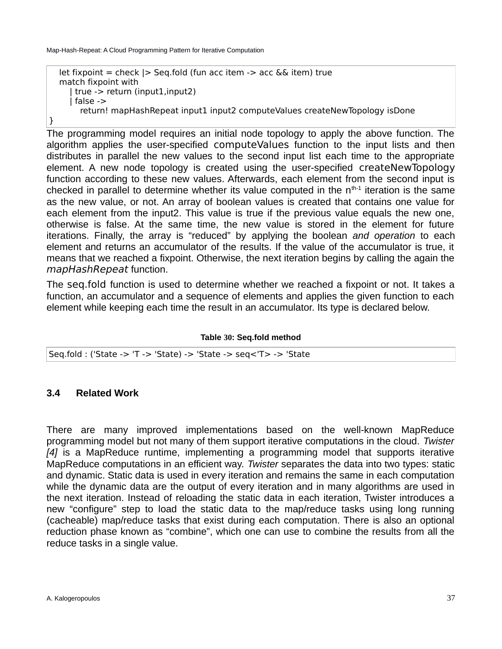```
let fixpoint = check | > Seq.fold (fun acc item \rightarrow acc && item) true
 match fixpoint with 
   | true -> return (input1,input2)
    | false -> 
      return! mapHashRepeat input1 input2 computeValues createNewTopology isDone
```
The programming model requires an initial node topology to apply the above function. The algorithm applies the user-specified computeValues function to the input lists and then distributes in parallel the new values to the second input list each time to the appropriate element. A new node topology is created using the user-specified createNewTopology function according to these new values. Afterwards, each element from the second input is checked in parallel to determine whether its value computed in the  $n^{th-1}$  iteration is the same as the new value, or not. An array of boolean values is created that contains one value for each element from the input2. This value is true if the previous value equals the new one, otherwise is false. At the same time, the new value is stored in the element for future iterations. Finally, the array is "reduced" by applying the boolean *and operation* to each element and returns an accumulator of the results. If the value of the accumulator is true, it means that we reached a fixpoint. Otherwise, the next iteration begins by calling the again the mapHashRepeat function.

The seq.fold function is used to determine whether we reached a fixpoint or not. It takes a function, an accumulator and a sequence of elements and applies the given function to each element while keeping each time the result in an accumulator. Its type is declared below.

<span id="page-35-1"></span>**Table 30: Seq.fold method**

| Seq.fold: ('State -> 'T -> 'State) -> 'State -> seq<'T> -> 'State |
|-------------------------------------------------------------------|
|                                                                   |

## <span id="page-35-0"></span>**3.4 Related Work**

}

There are many improved implementations based on the well-known MapReduce programming model but not many of them support iterative computations in the cloud. *Twister [\[4\]](#page-43-5)* is a MapReduce runtime, implementing a programming model that supports iterative MapReduce computations in an efficient way. *Twister* separates the data into two types: static and dynamic. Static data is used in every iteration and remains the same in each computation while the dynamic data are the output of every iteration and in many algorithms are used in the next iteration. Instead of reloading the static data in each iteration, Twister introduces a new "configure" step to load the static data to the map/reduce tasks using long running (cacheable) map/reduce tasks that exist during each computation. There is also an optional reduction phase known as "combine", which one can use to combine the results from all the reduce tasks in a single value.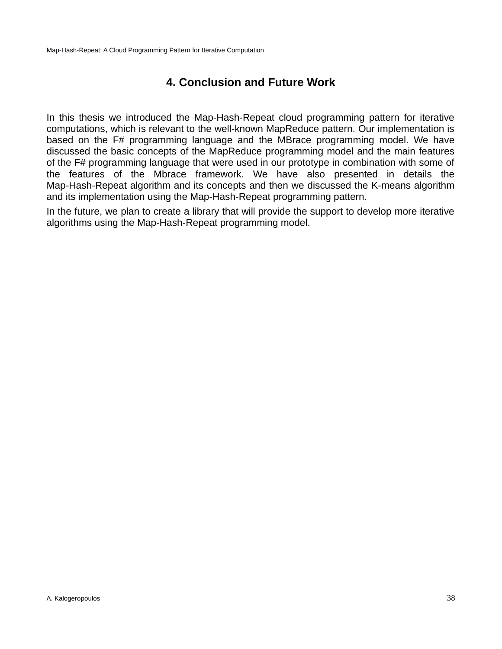## <span id="page-36-0"></span>**4. Conclusion and Future Work**

In this thesis we introduced the Map-Hash-Repeat cloud programming pattern for iterative computations, which is relevant to the well-known MapReduce pattern. Our implementation is based on the F# programming language and the MBrace programming model. We have discussed the basic concepts of the MapReduce programming model and the main features of the F# programming language that were used in our prototype in combination with some of the features of the Mbrace framework. We have also presented in details the Map-Hash-Repeat algorithm and its concepts and then we discussed the K-means algorithm and its implementation using the Map-Hash-Repeat programming pattern.

In the future, we plan to create a library that will provide the support to develop more iterative algorithms using the Map-Hash-Repeat programming model.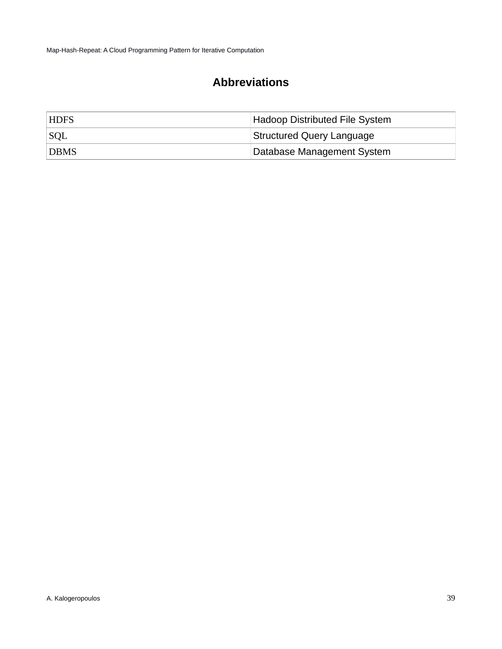# <span id="page-37-0"></span>**Abbreviations**

| <b>HDFS</b> | Hadoop Distributed File System |
|-------------|--------------------------------|
| SQL         | Structured Query Language      |
| <b>DBMS</b> | Database Management System     |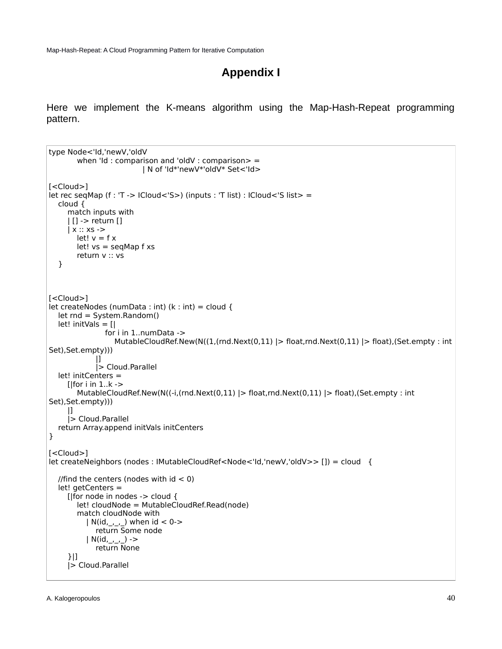## <span id="page-38-0"></span>**Appendix I**

Here we implement the K-means algorithm using the Map-Hash-Repeat programming pattern.

```
type Node<'Id,'newV,'oldV 
       when 'Id : comparison and 'oldV : comparison> =
                           | N of 'Id*'newV*'oldV* Set<'Id>
[<Cloud>]
let rec seqMap (f : 'T -> ICloud<'S>) (inputs : 'T list) : ICloud<'S list> =
   cloud {
      match inputs with
      | [] -> return []
      | x :: xs ->
       let! v = f xlet! vs = seqMap f xs return v :: vs
   }
[<Cloud>]
let createNodes (numData : int) (k : int) = cloud {
   let rnd = System.Random() 
   let! initVals = [| 
                for i in 1..numData ->
                  MutableCloudRef.New(N((1,(rnd.Next(0,11) |> float,rnd.Next(0,11) |> float),(Set.empty : int
Set),Set.empty)))
 |]
              |> Cloud.Parallel
   let! initCenters = 
     [|for i in 1..k ->
       MutableCloudRef.New(N((i, (rnd(Next(0,11)) > float, rnd.Next(0,11)) > float), (Set.empty : int
Set),Set.empty)))
     |] |> Cloud.Parallel 
   return Array.append initVals initCenters
} 
[<Cloud>]
let createNeighbors (nodes : IMutableCloudRef<Node<'Id,'newV,'oldV>> []) = cloud {
  //find the centers (nodes with id < 0)
   let! getCenters = 
      [|for node in nodes -> cloud {
        let! cloudNode = MutableCloudRef.Read(node)
        match cloudNode with 
          | N(id, _{-,-,-}) when id < 0->
              return Some node
          | N(id, _{-,-,-}) - > return None
      }|] 
      |> Cloud.Parallel
```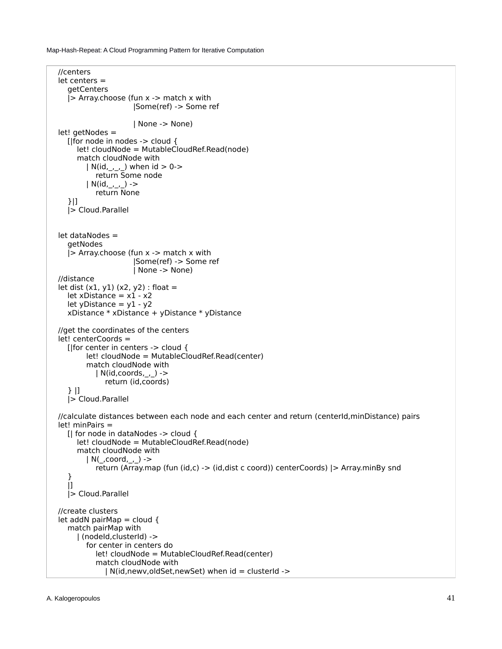```
 //centers
 let centers = 
   getCenters 
   |> Array.choose (fun x -> match x with 
                      |Some(ref) -> Some ref
                      | None -> None) 
 let! getNodes = 
   [|for node in nodes -> cloud {
      let! cloudNode = MutableCloudRef.Read(node)
      match cloudNode with 
        | N(id, _{-,-,-}) when id > 0->
           return Some node
        | N(id, _{-,-,-}) ->
           return None
   }|] 
   |> Cloud.Parallel 
 let dataNodes = 
   getNodes 
   |> Array.choose (fun x -> match x with 
                       |Some(ref) -> Some ref
                      | None -> None) 
 //distance
let dist (x1, y1) (x2, y2): float =
  let xDistance = x1 - x2let yDistance = y1 - y2 xDistance * xDistance + yDistance * yDistance
 //get the coordinates of the centers
 let! centerCoords = 
   [|for center in centers -> cloud {
         let! cloudNode = MutableCloudRef.Read(center)
         match cloudNode with 
          | N(id,coords, ) ->
              return (id,coords)
   } |]
   |> Cloud.Parallel 
 //calculate distances between each node and each center and return (centerId,minDistance) pairs
 let! minPairs = 
   [| for node in dataNodes -> cloud {
      let! cloudNode = MutableCloudRef.Read(node)
      match cloudNode with 
        | N(\underline{\ } ,\mathrm{coord},\underline{\ } ,\underline{\ }) ->
           return (Array.map (fun (id,c) -> (id,dist c coord)) centerCoords) |> Array.minBy snd 
   }
   |] 
   |> Cloud.Parallel
 //create clusters
let addN pairMap = cloud {
   match pairMap with 
      | (nodeId,clusterId) ->
         for center in centers do
           let! cloudNode = MutableCloudRef.Read(center)
           match cloudNode with 
             | N(id,newv,oldSet,newSet) when id = clusterId ->
```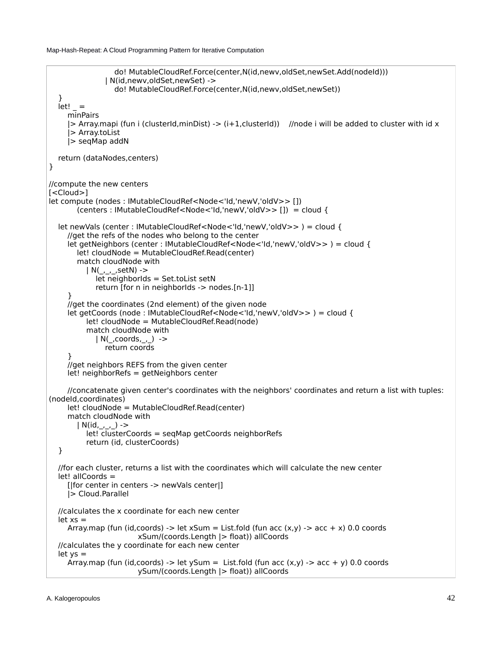```
 do! MutableCloudRef.Force(center,N(id,newv,oldSet,newSet.Add(nodeId)))
                | N(id,newv,oldSet,newSet) -> 
                  do! MutableCloudRef.Force(center,N(id,newv,oldSet,newSet)) 
 } 
  let! = minPairs 
     |> Array.mapi (fun i (clusterId,minDist) -> (i+1,clusterId)) //node i will be added to cluster with id x
      |> Array.toList 
      |> seqMap addN 
   return (dataNodes,centers) 
}
//compute the new centers
[<Cloud>]
let compute (nodes : IMutableCloudRef<Node<'Id,'newV,'oldV>> []) 
        (centers : IMutableCloudRef<Node<'Id,'newV,'oldV>> []) = cloud {
   let newVals (center : IMutableCloudRef<Node<'Id,'newV,'oldV>> ) = cloud { 
      //get the refs of the nodes who belong to the center
      let getNeighbors (center : IMutableCloudRef<Node<'Id,'newV,'oldV>> ) = cloud {
        let! cloudNode = MutableCloudRef.Read(center)
        match cloudNode with
          | N(\_, \_, \_setN) ->
             let neighborIds = Set.toList setN
             return [for n in neighborIds -> nodes.[n-1]] 
 } 
      //get the coordinates (2nd element) of the given node
      let getCoords (node : IMutableCloudRef<Node<'Id,'newV,'oldV>> ) = cloud {
           let! cloudNode = MutableCloudRef.Read(node)
           match cloudNode with
            |N(,coords,, ) ->
                return coords 
 }
      //get neighbors REFS from the given center
      let! neighborRefs = getNeighbors center 
      //concatenate given center's coordinates with the neighbors' coordinates and return a list with tuples: 
(nodeId,coordinates)
     let! cloudNode = MutableCloudRef.Read(center)
      match cloudNode with 
       | N(id, _{-,-,-}) ->
           let! clusterCoords = seqMap getCoords neighborRefs 
           return (id, clusterCoords) 
   }
   //for each cluster, returns a list with the coordinates which will calculate the new center
   let! allCoords = 
      [|for center in centers -> newVals center|] 
      |> Cloud.Parallel 
   //calculates the x coordinate for each new center
  let xs =Array.map (fun (id,coords) -> let xSum = List.fold (fun acc (x,y) -> acc + x) 0.0 coords
                         xSum/(coords.Length |> float)) allCoords 
   //calculates the y coordinate for each new center
  let ys =Array.map (fun (id,coords) -> let ySum = List.fold (fun acc (x,y) -> acc + y) 0.0 coords
                         ySum/(coords.Length |> float)) allCoords
```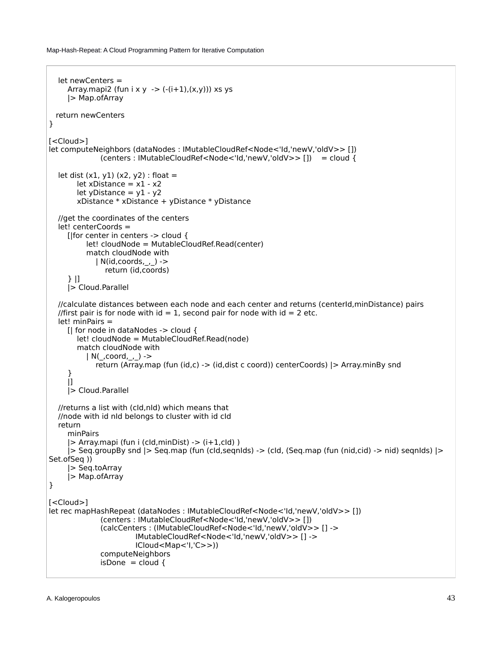```
 let newCenters = 
     Array.mapi2 (fun i x y -> (-(i+1),(x,y))) xs ys
      |> Map.ofArray
  return newCenters
}
[<Cloud>]
let computeNeighbors (dataNodes : IMutableCloudRef<Node<'Id,'newV,'oldV>> []) 
               (centers : IMutableCloudRef<Node<'Id,'newV,'oldV>> []) = cloud {
  let dist (x1, y1) (x2, y2) : float =
       let xDistance = x1 - x2let yDistance = y1 - y2 xDistance * xDistance + yDistance * yDistance
   //get the coordinates of the centers
   let! centerCoords = 
      [|for center in centers -> cloud {
           let! cloudNode = MutableCloudRef.Read(center)
           match cloudNode with 
             | N(id,coords,_,_) ->
                return (id,coords)
      } |]
      |> Cloud.Parallel 
   //calculate distances between each node and each center and returns (centerId,minDistance) pairs
  //first pair is for node with id = 1, second pair for node with id = 2 etc.
   let! minPairs = 
     [| for node in dataNodes -> cloud {
        let! cloudNode = MutableCloudRef.Read(node)
        match cloudNode with 
          | N(\_, coord, \_, ) ->
             return (Array.map (fun (id,c) -> (id,dist c coord)) centerCoords) |> Array.minBy snd 
      }
      |] 
      |> Cloud.Parallel
   //returns a list with (cId,nId) which means that 
   //node with id nId belongs to cluster with id cId
   return 
      minPairs
      |> Array.mapi (fun i (cId,minDist) -> (i+1,cId) )
      |> Seq.groupBy snd |> Seq.map (fun (cId,seqnIds) -> (cId, (Seq.map (fun (nid,cid) -> nid) seqnIds) |> 
Set.ofSeq ))
     |> Seq.toArray 
      |> Map.ofArray
}
[<Cloud>]
let rec mapHashRepeat (dataNodes : IMutableCloudRef<Node<'Id,'newV,'oldV>> []) 
               (centers : IMutableCloudRef<Node<'Id,'newV,'oldV>> []) 
               (calcCenters : (IMutableCloudRef<Node<'Id,'newV,'oldV>> [] ->
                        IMutableCloudRef<Node<'Id,'newV,'oldV>> [] ->
                       ICloud<Map<'I,'C>>))
               computeNeighbors
              isDone = cloud {
```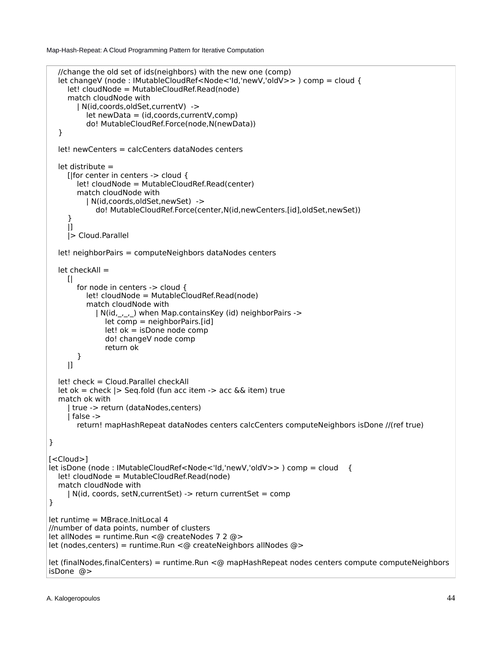```
 //change the old set of ids(neighbors) with the new one (comp)
  let changeV (node : IMutableCloudRef<Node<'Id,'newV,'oldV>> ) comp = cloud {
     let! cloudNode = MutableCloudRef.Read(node)
     match cloudNode with 
        | N(id,coords,oldSet,currentV) -> 
          let newData = (id,coords,currentV,comp) 
           do! MutableCloudRef.Force(node,N(newData)) 
   } 
   let! newCenters = calcCenters dataNodes centers
   let distribute = 
     [|for center in centers -> cloud {
        let! cloudNode = MutableCloudRef.Read(center)
        match cloudNode with
          | N(id,coords,oldSet,newSet) -> 
             do! MutableCloudRef.Force(center,N(id,newCenters.[id],oldSet,newSet))
     }
    |] |> Cloud.Parallel
   let! neighborPairs = computeNeighbors dataNodes centers 
   let checkAll = 
    [ for node in centers -> cloud { 
          let! cloudNode = MutableCloudRef.Read(node)
           match cloudNode with 
            | N(id,,,,) when Map.containsKey (id) neighborPairs ->
               let comp = neighborPairs.[id]
               let! ok = isDone node comp
               do! changeV node comp 
               return ok 
        }
    |] let! check = Cloud.Parallel checkAll 
   let ok = check |> Seq.fold (fun acc item -> acc && item) true
   match ok with 
     | true -> return (dataNodes,centers)
     | false -> 
        return! mapHashRepeat dataNodes centers calcCenters computeNeighbors isDone //(ref true) 
}
[<Cloud>]
let isDone (node : IMutableCloudRef<Node<'Id,'newV,'oldV>> ) comp = cloud {
   let! cloudNode = MutableCloudRef.Read(node)
   match cloudNode with 
     | N(id, coords, setN,currentSet) -> return currentSet = comp 
}
let runtime = MBrace.InitLocal 4
//number of data points, number of clusters
let allNodes = runtime.Run <@ createNodes 7 2 @>let (nodes,centers) = runtime.Run <@ createNeighbors allNodes @>
let (finalNodes,finalCenters) = runtime.Run <@ mapHashRepeat nodes centers compute computeNeighbors 
isDone @>
```